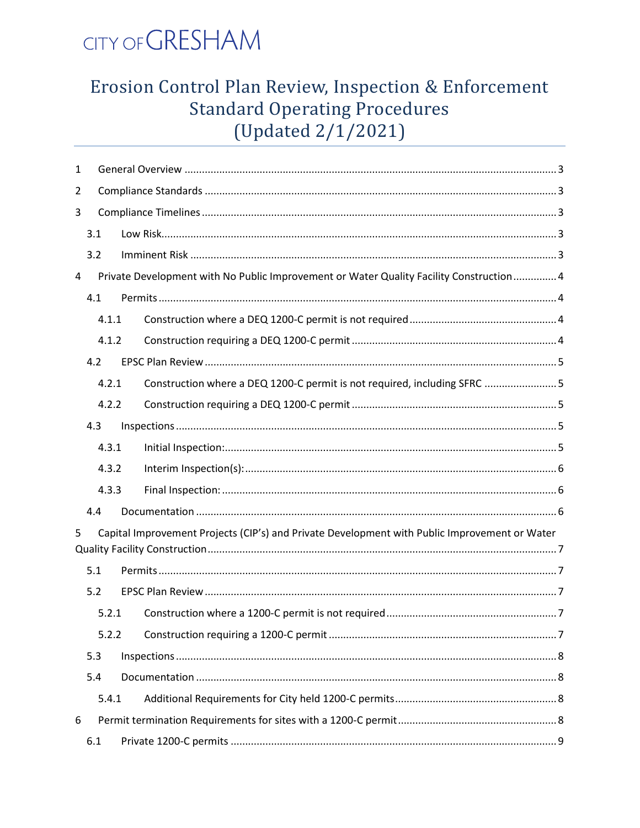

# Erosion Control Plan Review, Inspection & Enforcement **Standard Operating Procedures** (Updated 2/1/2021)

| 1 |     |       |  |                                                                                               |  |  |  |
|---|-----|-------|--|-----------------------------------------------------------------------------------------------|--|--|--|
| 2 |     |       |  |                                                                                               |  |  |  |
| 3 |     |       |  |                                                                                               |  |  |  |
|   | 3.1 |       |  |                                                                                               |  |  |  |
|   | 3.2 |       |  |                                                                                               |  |  |  |
| 4 |     |       |  | Private Development with No Public Improvement or Water Quality Facility Construction 4       |  |  |  |
|   | 4.1 |       |  |                                                                                               |  |  |  |
|   |     | 4.1.1 |  |                                                                                               |  |  |  |
|   |     | 4.1.2 |  |                                                                                               |  |  |  |
|   | 4.2 |       |  |                                                                                               |  |  |  |
|   |     | 4.2.1 |  | Construction where a DEQ 1200-C permit is not required, including SFRC 5                      |  |  |  |
|   |     | 4.2.2 |  |                                                                                               |  |  |  |
|   | 4.3 |       |  |                                                                                               |  |  |  |
|   |     | 4.3.1 |  |                                                                                               |  |  |  |
|   |     | 4.3.2 |  |                                                                                               |  |  |  |
|   |     | 4.3.3 |  |                                                                                               |  |  |  |
|   | 4.4 |       |  |                                                                                               |  |  |  |
| 5 |     |       |  | Capital Improvement Projects (CIP's) and Private Development with Public Improvement or Water |  |  |  |
|   |     |       |  |                                                                                               |  |  |  |
|   | 5.1 |       |  |                                                                                               |  |  |  |
|   | 5.2 |       |  |                                                                                               |  |  |  |
|   |     | 5.2.1 |  |                                                                                               |  |  |  |
|   |     | 5.2.2 |  |                                                                                               |  |  |  |
|   | 5.3 |       |  |                                                                                               |  |  |  |
|   | 5.4 |       |  |                                                                                               |  |  |  |
|   |     | 5.4.1 |  |                                                                                               |  |  |  |
| 6 |     |       |  |                                                                                               |  |  |  |
|   | 6.1 |       |  |                                                                                               |  |  |  |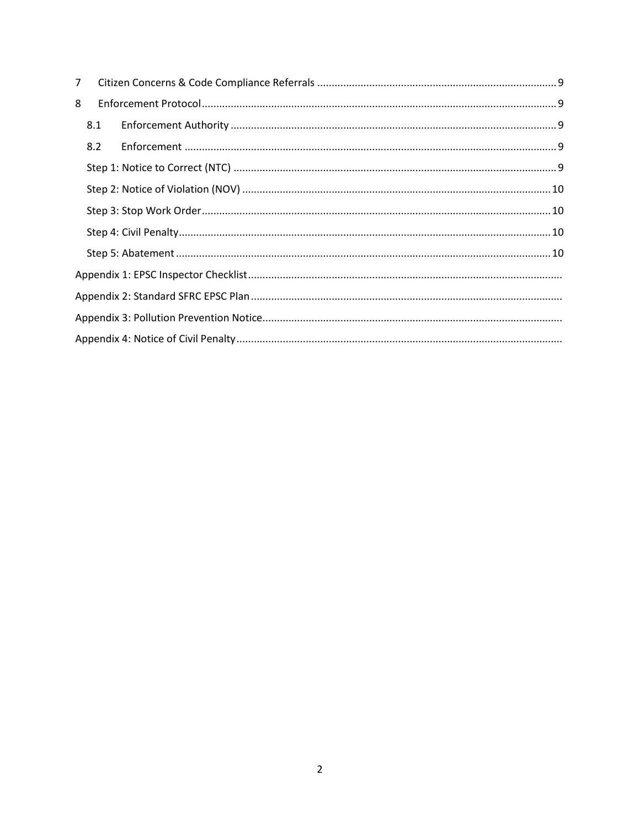| $\overline{7}$ |     |  |  |  |  |  |  |
|----------------|-----|--|--|--|--|--|--|
| 8              |     |  |  |  |  |  |  |
|                | 8.1 |  |  |  |  |  |  |
|                | 8.2 |  |  |  |  |  |  |
|                |     |  |  |  |  |  |  |
|                |     |  |  |  |  |  |  |
|                |     |  |  |  |  |  |  |
|                |     |  |  |  |  |  |  |
|                |     |  |  |  |  |  |  |
|                |     |  |  |  |  |  |  |
|                |     |  |  |  |  |  |  |
|                |     |  |  |  |  |  |  |
|                |     |  |  |  |  |  |  |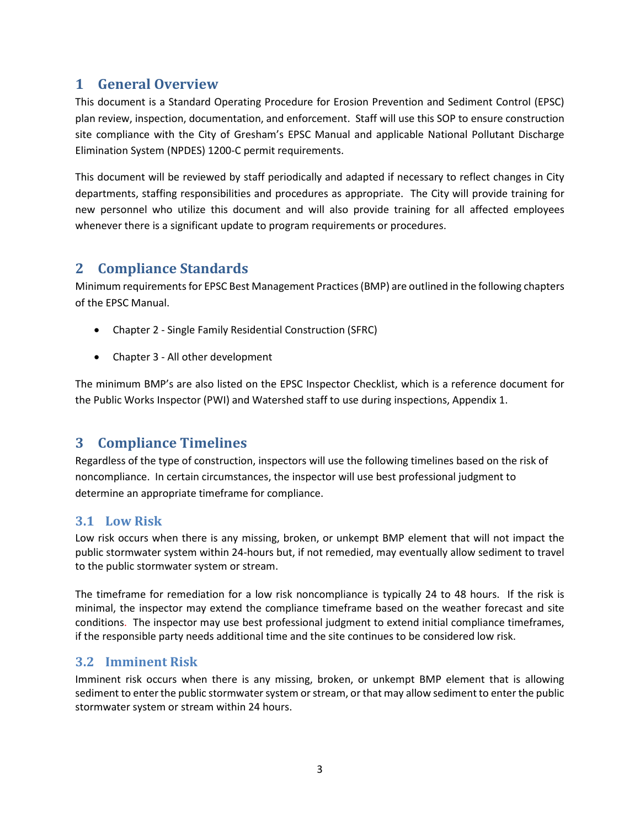# <span id="page-2-0"></span>**1 General Overview**

This document is a Standard Operating Procedure for Erosion Prevention and Sediment Control (EPSC) plan review, inspection, documentation, and enforcement. Staff will use this SOP to ensure construction site compliance with the City of Gresham's EPSC Manual and applicable National Pollutant Discharge Elimination System (NPDES) 1200-C permit requirements.

This document will be reviewed by staff periodically and adapted if necessary to reflect changes in City departments, staffing responsibilities and procedures as appropriate. The City will provide training for new personnel who utilize this document and will also provide training for all affected employees whenever there is a significant update to program requirements or procedures.

# <span id="page-2-1"></span>**2 Compliance Standards**

Minimum requirements for EPSC Best Management Practices (BMP) are outlined in the following chapters of the EPSC Manual.

- Chapter 2 Single Family Residential Construction (SFRC)
- Chapter 3 All other development

The minimum BMP's are also listed on the EPSC Inspector Checklist, which is a reference document for the Public Works Inspector (PWI) and Watershed staff to use during inspections, Appendix 1.

# <span id="page-2-2"></span>**3 Compliance Timelines**

Regardless of the type of construction, inspectors will use the following timelines based on the risk of noncompliance. In certain circumstances, the inspector will use best professional judgment to determine an appropriate timeframe for compliance.

#### <span id="page-2-3"></span>**3.1 Low Risk**

Low risk occurs when there is any missing, broken, or unkempt BMP element that will not impact the public stormwater system within 24-hours but, if not remedied, may eventually allow sediment to travel to the public stormwater system or stream.

The timeframe for remediation for a low risk noncompliance is typically 24 to 48 hours. If the risk is minimal, the inspector may extend the compliance timeframe based on the weather forecast and site conditions. The inspector may use best professional judgment to extend initial compliance timeframes, if the responsible party needs additional time and the site continues to be considered low risk.

#### <span id="page-2-4"></span>**3.2 Imminent Risk**

Imminent risk occurs when there is any missing, broken, or unkempt BMP element that is allowing sediment to enter the public stormwater system or stream, or that may allow sediment to enter the public stormwater system or stream within 24 hours.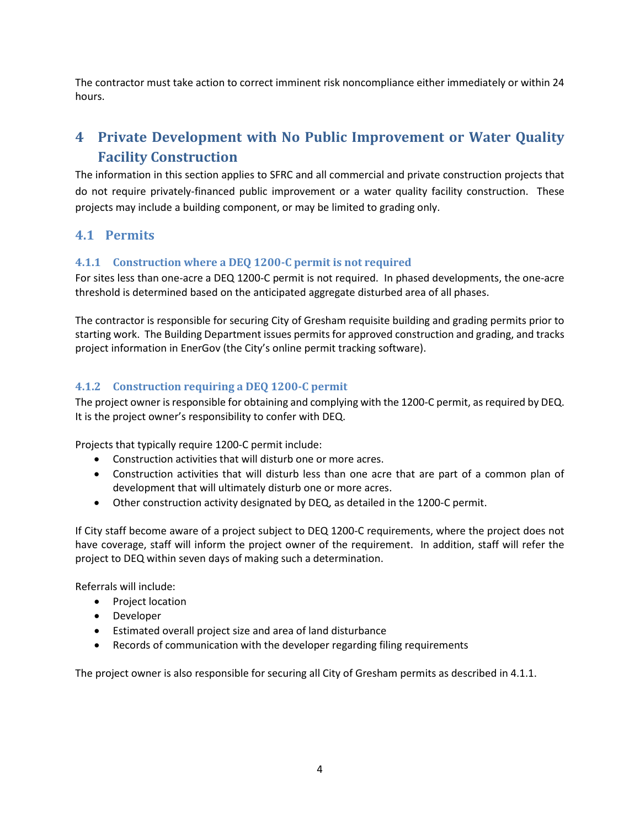The contractor must take action to correct imminent risk noncompliance either immediately or within 24 hours.

# <span id="page-3-0"></span>**4 Private Development with No Public Improvement or Water Quality Facility Construction**

The information in this section applies to SFRC and all commercial and private construction projects that do not require privately-financed public improvement or a water quality facility construction. These projects may include a building component, or may be limited to grading only.

#### <span id="page-3-1"></span>**4.1 Permits**

#### <span id="page-3-2"></span>**4.1.1 Construction where a DEQ 1200-C permit is not required**

For sites less than one-acre a DEQ 1200-C permit is not required. In phased developments, the one-acre threshold is determined based on the anticipated aggregate disturbed area of all phases.

The contractor is responsible for securing City of Gresham requisite building and grading permits prior to starting work. The Building Department issues permits for approved construction and grading, and tracks project information in EnerGov (the City's online permit tracking software).

#### <span id="page-3-3"></span>**4.1.2 Construction requiring a DEQ 1200-C permit**

The project owner is responsible for obtaining and complying with the 1200-C permit, as required by DEQ. It is the project owner's responsibility to confer with DEQ.

Projects that typically require 1200-C permit include:

- Construction activities that will disturb one or more acres.
- Construction activities that will disturb less than one acre that are part of a common plan of development that will ultimately disturb one or more acres.
- Other construction activity designated by DEQ, as detailed in the 1200-C permit.

If City staff become aware of a project subject to DEQ 1200-C requirements, where the project does not have coverage, staff will inform the project owner of the requirement. In addition, staff will refer the project to DEQ within seven days of making such a determination.

Referrals will include:

- Project location
- Developer
- Estimated overall project size and area of land disturbance
- Records of communication with the developer regarding filing requirements

The project owner is also responsible for securing all City of Gresham permits as described in 4.1.1.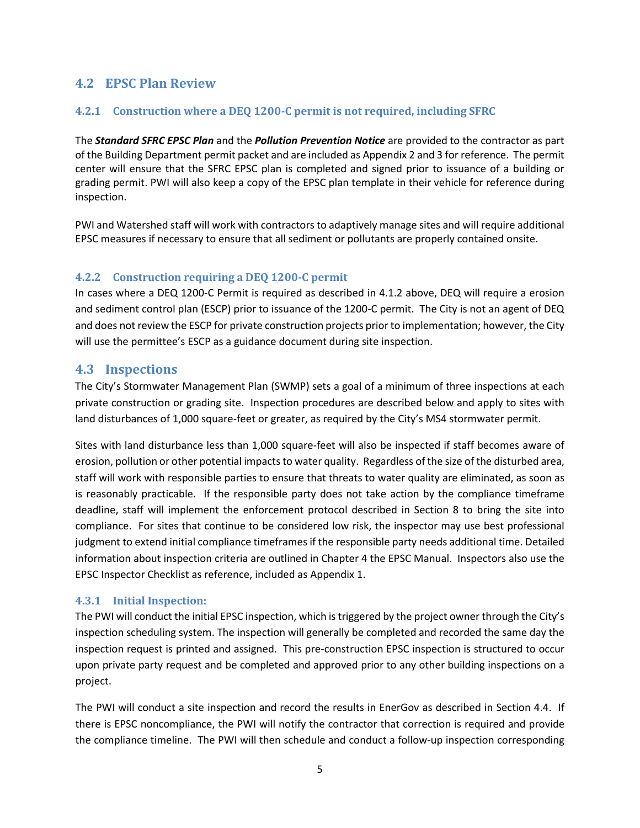#### <span id="page-4-0"></span>**4.2 EPSC Plan Review**

#### <span id="page-4-1"></span>**4.2.1 Construction where a DEQ 1200-C permit is not required, including SFRC**

The *Standard SFRC EPSC Plan* and the *Pollution Prevention Notice* are provided to the contractor as part of the Building Department permit packet and are included as Appendix 2 and 3 for reference. The permit center will ensure that the SFRC EPSC plan is completed and signed prior to issuance of a building or grading permit. PWI will also keep a copy of the EPSC plan template in their vehicle for reference during inspection.

PWI and Watershed staff will work with contractors to adaptively manage sites and will require additional EPSC measures if necessary to ensure that all sediment or pollutants are properly contained onsite.

#### <span id="page-4-2"></span>**4.2.2 Construction requiring a DEQ 1200-C permit**

In cases where a DEQ 1200-C Permit is required as described in 4.1.2 above, DEQ will require a erosion and sediment control plan (ESCP) prior to issuance of the 1200-C permit. The City is not an agent of DEQ and does not review the ESCP for private construction projects prior to implementation; however, the City will use the permittee's ESCP as a guidance document during site inspection.

#### <span id="page-4-3"></span>**4.3 Inspections**

The City's Stormwater Management Plan (SWMP) sets a goal of a minimum of three inspections at each private construction or grading site. Inspection procedures are described below and apply to sites with land disturbances of 1,000 square-feet or greater, as required by the City's MS4 stormwater permit.

Sites with land disturbance less than 1,000 square-feet will also be inspected if staff becomes aware of erosion, pollution or other potential impacts to water quality. Regardless of the size of the disturbed area, staff will work with responsible parties to ensure that threats to water quality are eliminated, as soon as is reasonably practicable. If the responsible party does not take action by the compliance timeframe deadline, staff will implement the enforcement protocol described in Section 8 to bring the site into compliance. For sites that continue to be considered low risk, the inspector may use best professional judgment to extend initial compliance timeframes if the responsible party needs additional time. Detailed information about inspection criteria are outlined in Chapter 4 the EPSC Manual. Inspectors also use the EPSC Inspector Checklist as reference, included as Appendix 1.

#### <span id="page-4-4"></span>**4.3.1 Initial Inspection:**

The PWI will conduct the initial EPSC inspection, which is triggered by the project owner through the City's inspection scheduling system. The inspection will generally be completed and recorded the same day the inspection request is printed and assigned. This pre-construction EPSC inspection is structured to occur upon private party request and be completed and approved prior to any other building inspections on a project.

The PWI will conduct a site inspection and record the results in EnerGov as described in Section 4.4. If there is EPSC noncompliance, the PWI will notify the contractor that correction is required and provide the compliance timeline. The PWI will then schedule and conduct a follow-up inspection corresponding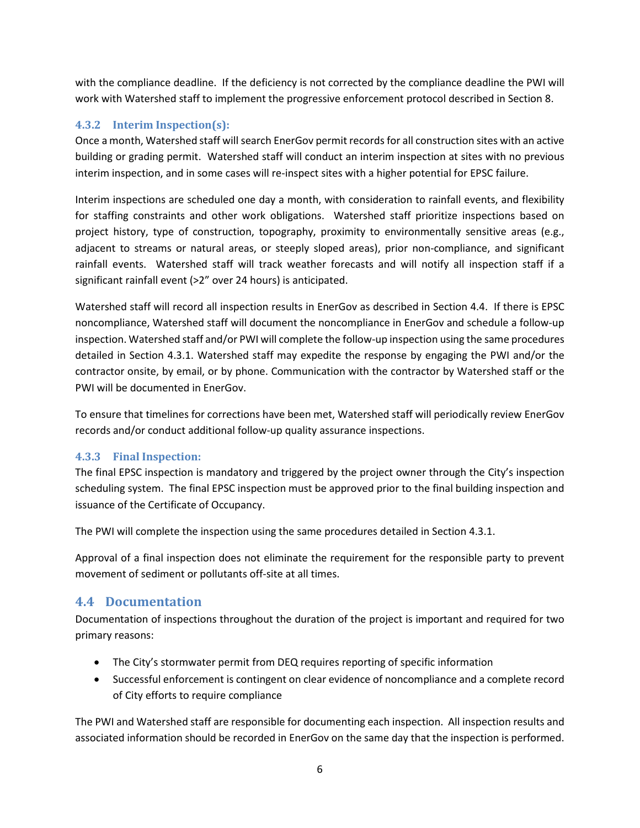with the compliance deadline. If the deficiency is not corrected by the compliance deadline the PWI will work with Watershed staff to implement the progressive enforcement protocol described in Section 8.

#### <span id="page-5-0"></span>**4.3.2 Interim Inspection(s):**

Once a month, Watershed staff will search EnerGov permit records for all construction sites with an active building or grading permit. Watershed staff will conduct an interim inspection at sites with no previous interim inspection, and in some cases will re-inspect sites with a higher potential for EPSC failure.

Interim inspections are scheduled one day a month, with consideration to rainfall events, and flexibility for staffing constraints and other work obligations. Watershed staff prioritize inspections based on project history, type of construction, topography, proximity to environmentally sensitive areas (e.g., adjacent to streams or natural areas, or steeply sloped areas), prior non-compliance, and significant rainfall events. Watershed staff will track weather forecasts and will notify all inspection staff if a significant rainfall event (>2" over 24 hours) is anticipated.

Watershed staff will record all inspection results in EnerGov as described in Section 4.4. If there is EPSC noncompliance, Watershed staff will document the noncompliance in EnerGov and schedule a follow-up inspection. Watershed staff and/or PWI will complete the follow-up inspection using the same procedures detailed in Section 4.3.1. Watershed staff may expedite the response by engaging the PWI and/or the contractor onsite, by email, or by phone. Communication with the contractor by Watershed staff or the PWI will be documented in EnerGov.

To ensure that timelines for corrections have been met, Watershed staff will periodically review EnerGov records and/or conduct additional follow-up quality assurance inspections.

#### <span id="page-5-1"></span>**4.3.3 Final Inspection:**

The final EPSC inspection is mandatory and triggered by the project owner through the City's inspection scheduling system. The final EPSC inspection must be approved prior to the final building inspection and issuance of the Certificate of Occupancy.

The PWI will complete the inspection using the same procedures detailed in Section 4.3.1.

Approval of a final inspection does not eliminate the requirement for the responsible party to prevent movement of sediment or pollutants off-site at all times.

#### <span id="page-5-2"></span>**4.4 Documentation**

Documentation of inspections throughout the duration of the project is important and required for two primary reasons:

- The City's stormwater permit from DEQ requires reporting of specific information
- Successful enforcement is contingent on clear evidence of noncompliance and a complete record of City efforts to require compliance

The PWI and Watershed staff are responsible for documenting each inspection. All inspection results and associated information should be recorded in EnerGov on the same day that the inspection is performed.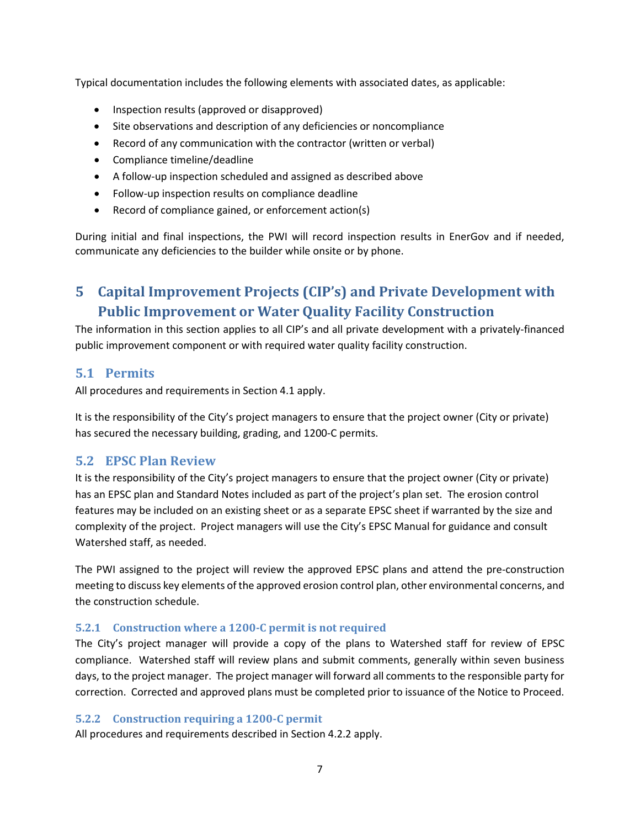Typical documentation includes the following elements with associated dates, as applicable:

- Inspection results (approved or disapproved)
- Site observations and description of any deficiencies or noncompliance
- Record of any communication with the contractor (written or verbal)
- Compliance timeline/deadline
- A follow-up inspection scheduled and assigned as described above
- Follow-up inspection results on compliance deadline
- Record of compliance gained, or enforcement action(s)

<span id="page-6-0"></span>During initial and final inspections, the PWI will record inspection results in EnerGov and if needed, communicate any deficiencies to the builder while onsite or by phone.

# **5 Capital Improvement Projects (CIP's) and Private Development with Public Improvement or Water Quality Facility Construction**

The information in this section applies to all CIP's and all private development with a privately-financed public improvement component or with required water quality facility construction.

#### <span id="page-6-1"></span>**5.1 Permits**

All procedures and requirements in Section 4.1 apply.

It is the responsibility of the City's project managers to ensure that the project owner (City or private) has secured the necessary building, grading, and 1200-C permits.

#### <span id="page-6-2"></span>**5.2 EPSC Plan Review**

It is the responsibility of the City's project managers to ensure that the project owner (City or private) has an EPSC plan and Standard Notes included as part of the project's plan set. The erosion control features may be included on an existing sheet or as a separate EPSC sheet if warranted by the size and complexity of the project. Project managers will use the City's EPSC Manual for guidance and consult Watershed staff, as needed.

The PWI assigned to the project will review the approved EPSC plans and attend the pre-construction meeting to discuss key elements of the approved erosion control plan, other environmental concerns, and the construction schedule.

#### <span id="page-6-3"></span>**5.2.1 Construction where a 1200-C permit is not required**

The City's project manager will provide a copy of the plans to Watershed staff for review of EPSC compliance. Watershed staff will review plans and submit comments, generally within seven business days, to the project manager. The project manager will forward all comments to the responsible party for correction. Corrected and approved plans must be completed prior to issuance of the Notice to Proceed.

#### <span id="page-6-4"></span>**5.2.2 Construction requiring a 1200-C permit**

All procedures and requirements described in Section 4.2.2 apply.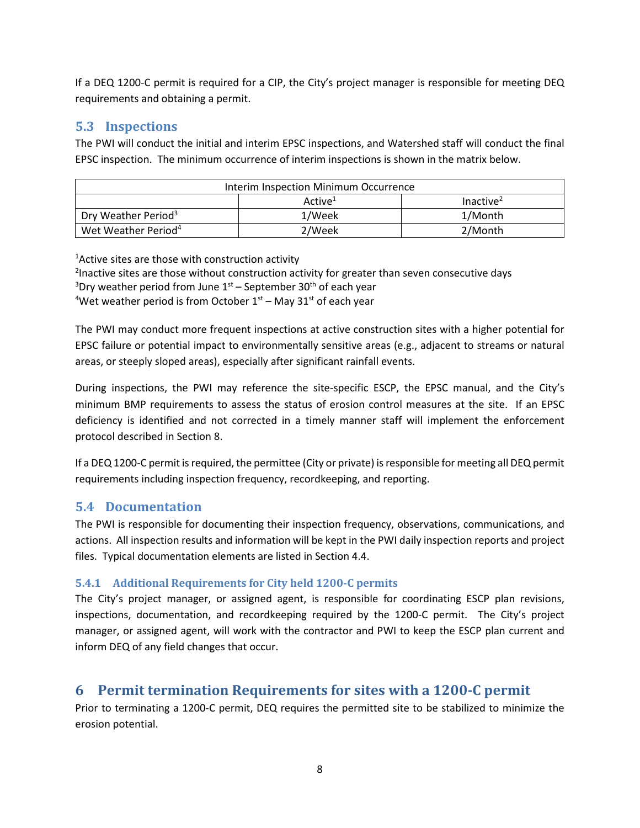If a DEQ 1200-C permit is required for a CIP, the City's project manager is responsible for meeting DEQ requirements and obtaining a permit.

#### <span id="page-7-0"></span>**5.3 Inspections**

The PWI will conduct the initial and interim EPSC inspections, and Watershed staff will conduct the final EPSC inspection. The minimum occurrence of interim inspections is shown in the matrix below.

| Interim Inspection Minimum Occurrence |                     |                       |  |  |  |  |  |
|---------------------------------------|---------------------|-----------------------|--|--|--|--|--|
|                                       | Active <sup>1</sup> | Inactive <sup>2</sup> |  |  |  |  |  |
| Dry Weather Period <sup>3</sup>       | 1/Week              | 1/Month               |  |  |  |  |  |
| Wet Weather Period <sup>4</sup>       | 2/Week              | 2/Month               |  |  |  |  |  |

<sup>1</sup>Active sites are those with construction activity

<sup>2</sup>Inactive sites are those without construction activity for greater than seven consecutive days <sup>3</sup>Dry weather period from June 1<sup>st</sup> – September 30<sup>th</sup> of each year <sup>4</sup>Wet weather period is from October  $1<sup>st</sup>$  – May 31 $<sup>st</sup>$  of each year</sup>

The PWI may conduct more frequent inspections at active construction sites with a higher potential for EPSC failure or potential impact to environmentally sensitive areas (e.g., adjacent to streams or natural areas, or steeply sloped areas), especially after significant rainfall events.

During inspections, the PWI may reference the site-specific ESCP, the EPSC manual, and the City's minimum BMP requirements to assess the status of erosion control measures at the site. If an EPSC deficiency is identified and not corrected in a timely manner staff will implement the enforcement protocol described in Section 8.

If a DEQ 1200-C permit is required, the permittee (City or private) is responsible for meeting all DEQ permit requirements including inspection frequency, recordkeeping, and reporting.

# <span id="page-7-1"></span>**5.4 Documentation**

The PWI is responsible for documenting their inspection frequency, observations, communications, and actions. All inspection results and information will be kept in the PWI daily inspection reports and project files. Typical documentation elements are listed in Section 4.4.

#### <span id="page-7-2"></span>**5.4.1 Additional Requirements for City held 1200-C permits**

The City's project manager, or assigned agent, is responsible for coordinating ESCP plan revisions, inspections, documentation, and recordkeeping required by the 1200-C permit. The City's project manager, or assigned agent, will work with the contractor and PWI to keep the ESCP plan current and inform DEQ of any field changes that occur.

# <span id="page-7-3"></span>**6 Permit termination Requirements for sites with a 1200-C permit**

Prior to terminating a 1200-C permit, DEQ requires the permitted site to be stabilized to minimize the erosion potential.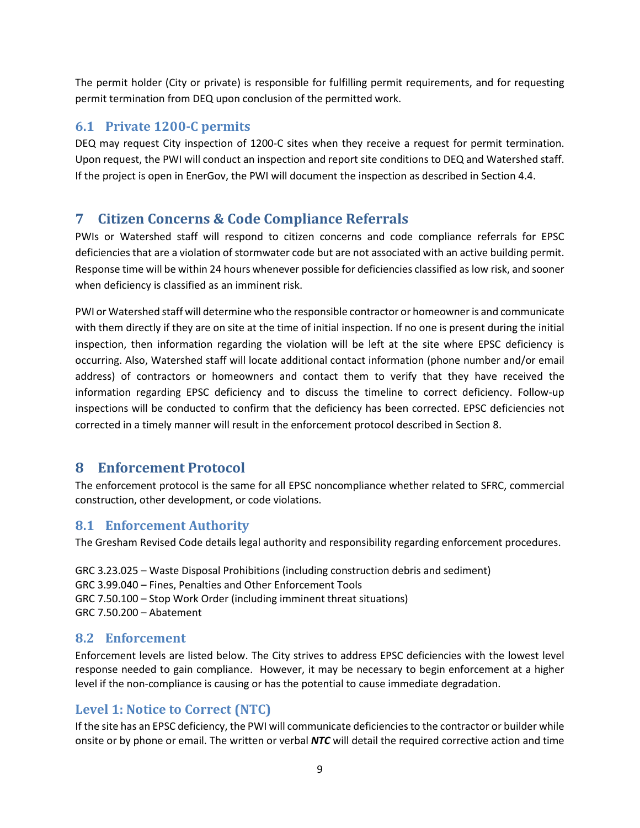The permit holder (City or private) is responsible for fulfilling permit requirements, and for requesting permit termination from DEQ upon conclusion of the permitted work.

## <span id="page-8-0"></span>**6.1 Private 1200-C permits**

DEQ may request City inspection of 1200-C sites when they receive a request for permit termination. Upon request, the PWI will conduct an inspection and report site conditions to DEQ and Watershed staff. If the project is open in EnerGov, the PWI will document the inspection as described in Section 4.4.

# <span id="page-8-1"></span>**7 Citizen Concerns & Code Compliance Referrals**

PWIs or Watershed staff will respond to citizen concerns and code compliance referrals for EPSC deficiencies that are a violation of stormwater code but are not associated with an active building permit. Response time will be within 24 hours whenever possible for deficiencies classified as low risk, and sooner when deficiency is classified as an imminent risk.

PWI or Watershed staff will determine who the responsible contractor or homeowneris and communicate with them directly if they are on site at the time of initial inspection. If no one is present during the initial inspection, then information regarding the violation will be left at the site where EPSC deficiency is occurring. Also, Watershed staff will locate additional contact information (phone number and/or email address) of contractors or homeowners and contact them to verify that they have received the information regarding EPSC deficiency and to discuss the timeline to correct deficiency. Follow-up inspections will be conducted to confirm that the deficiency has been corrected. EPSC deficiencies not corrected in a timely manner will result in the enforcement protocol described in Section 8.

# <span id="page-8-2"></span>**8 Enforcement Protocol**

The enforcement protocol is the same for all EPSC noncompliance whether related to SFRC, commercial construction, other development, or code violations.

#### <span id="page-8-3"></span>**8.1 Enforcement Authority**

The Gresham Revised Code details legal authority and responsibility regarding enforcement procedures.

GRC 3.23.025 – Waste Disposal Prohibitions (including construction debris and sediment) GRC 3.99.040 – Fines, Penalties and Other Enforcement Tools GRC 7.50.100 – Stop Work Order (including imminent threat situations) GRC 7.50.200 – Abatement

#### <span id="page-8-4"></span>**8.2 Enforcement**

Enforcement levels are listed below. The City strives to address EPSC deficiencies with the lowest level response needed to gain compliance. However, it may be necessary to begin enforcement at a higher level if the non-compliance is causing or has the potential to cause immediate degradation.

# <span id="page-8-5"></span>**Level 1: Notice to Correct (NTC)**

If the site has an EPSC deficiency, the PWI will communicate deficienciesto the contractor or builder while onsite or by phone or email. The written or verbal *NTC* will detail the required corrective action and time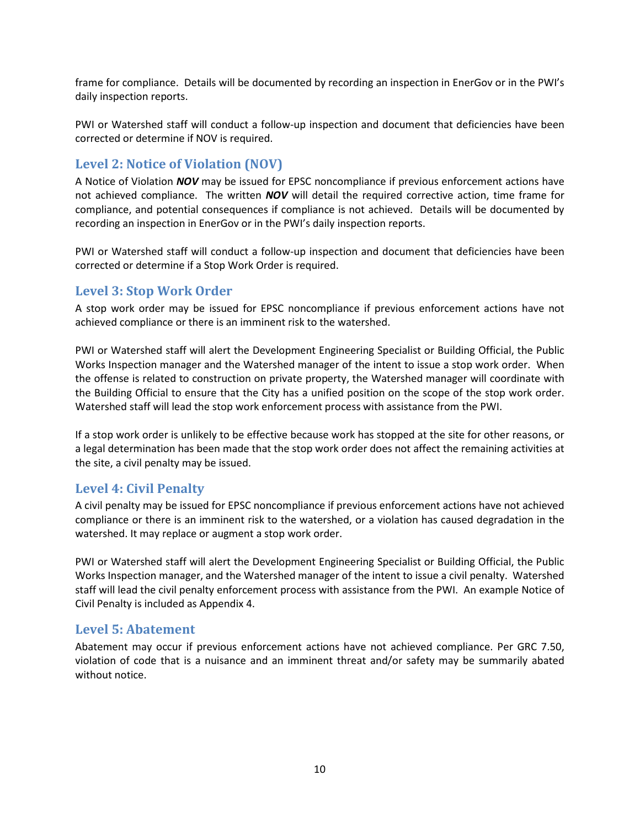frame for compliance. Details will be documented by recording an inspection in EnerGov or in the PWI's daily inspection reports.

PWI or Watershed staff will conduct a follow-up inspection and document that deficiencies have been corrected or determine if NOV is required.

## <span id="page-9-0"></span>**Level 2: Notice of Violation (NOV)**

A Notice of Violation *NOV* may be issued for EPSC noncompliance if previous enforcement actions have not achieved compliance. The written *NOV* will detail the required corrective action, time frame for compliance, and potential consequences if compliance is not achieved. Details will be documented by recording an inspection in EnerGov or in the PWI's daily inspection reports.

PWI or Watershed staff will conduct a follow-up inspection and document that deficiencies have been corrected or determine if a Stop Work Order is required.

#### <span id="page-9-1"></span>**Level 3: Stop Work Order**

A stop work order may be issued for EPSC noncompliance if previous enforcement actions have not achieved compliance or there is an imminent risk to the watershed.

PWI or Watershed staff will alert the Development Engineering Specialist or Building Official, the Public Works Inspection manager and the Watershed manager of the intent to issue a stop work order. When the offense is related to construction on private property, the Watershed manager will coordinate with the Building Official to ensure that the City has a unified position on the scope of the stop work order. Watershed staff will lead the stop work enforcement process with assistance from the PWI.

If a stop work order is unlikely to be effective because work has stopped at the site for other reasons, or a legal determination has been made that the stop work order does not affect the remaining activities at the site, a civil penalty may be issued.

#### <span id="page-9-2"></span>**Level 4: Civil Penalty**

A civil penalty may be issued for EPSC noncompliance if previous enforcement actions have not achieved compliance or there is an imminent risk to the watershed, or a violation has caused degradation in the watershed. It may replace or augment a stop work order.

PWI or Watershed staff will alert the Development Engineering Specialist or Building Official, the Public Works Inspection manager, and the Watershed manager of the intent to issue a civil penalty. Watershed staff will lead the civil penalty enforcement process with assistance from the PWI. An example Notice of Civil Penalty is included as Appendix 4.

#### <span id="page-9-3"></span>**Level 5: Abatement**

<span id="page-9-4"></span>Abatement may occur if previous enforcement actions have not achieved compliance. Per GRC 7.50, violation of code that is a nuisance and an imminent threat and/or safety may be summarily abated without notice.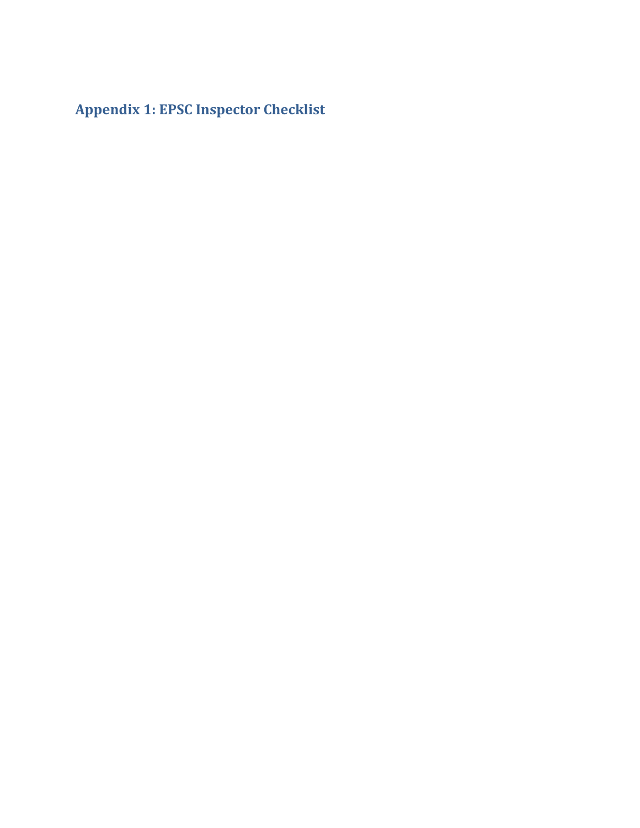<span id="page-10-0"></span>**Appendix 1: EPSC Inspector Checklist**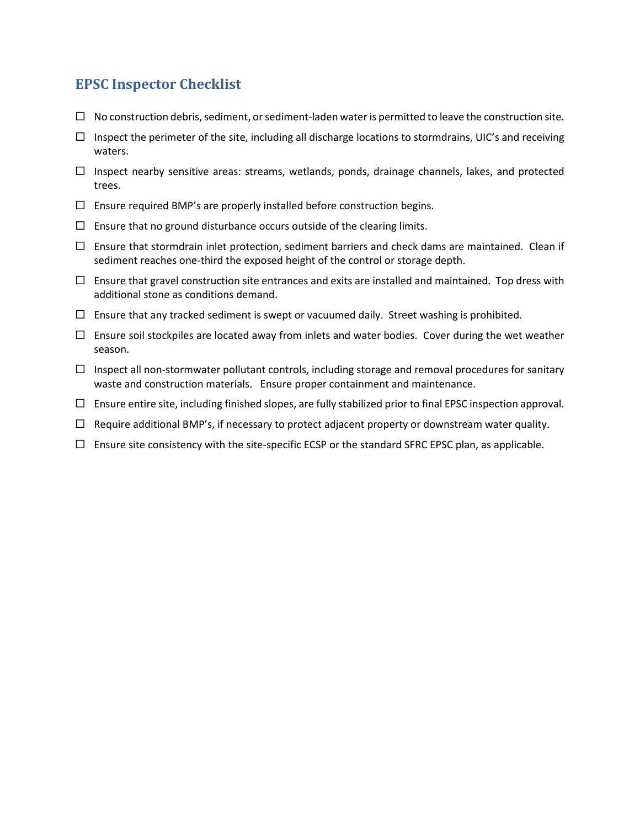# **EPSC Inspector Checklist**

- $\Box$  No construction debris, sediment, or sediment-laden water is permitted to leave the construction site.
- $\Box$  Inspect the perimeter of the site, including all discharge locations to stormdrains, UIC's and receiving waters.
- $\Box$  Inspect nearby sensitive areas: streams, wetlands, ponds, drainage channels, lakes, and protected trees.
- $\Box$  Ensure required BMP's are properly installed before construction begins.
- $\Box$  Ensure that no ground disturbance occurs outside of the clearing limits.
- $\Box$  Ensure that stormdrain inlet protection, sediment barriers and check dams are maintained. Clean if sediment reaches one-third the exposed height of the control or storage depth.
- $\Box$  Ensure that gravel construction site entrances and exits are installed and maintained. Top dress with additional stone as conditions demand.
- $\Box$  Ensure that any tracked sediment is swept or vacuumed daily. Street washing is prohibited.
- $\Box$  Ensure soil stockpiles are located away from inlets and water bodies. Cover during the wet weather season.
- $\Box$  Inspect all non-stormwater pollutant controls, including storage and removal procedures for sanitary waste and construction materials. Ensure proper containment and maintenance.
- $\Box$  Ensure entire site, including finished slopes, are fully stabilized prior to final EPSC inspection approval.
- $\Box$  Require additional BMP's, if necessary to protect adjacent property or downstream water quality.
- $\Box$  Ensure site consistency with the site-specific ECSP or the standard SFRC EPSC plan, as applicable.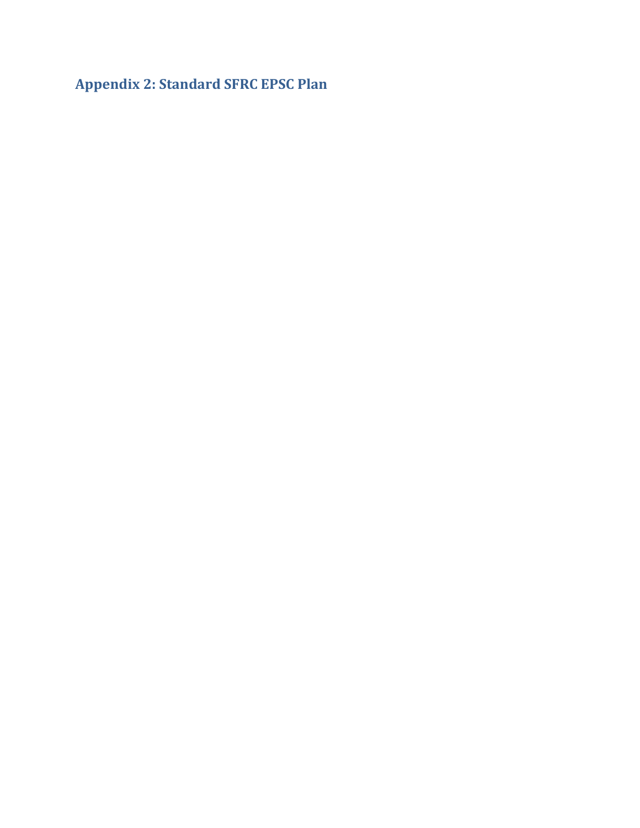<span id="page-12-0"></span>**Appendix 2: Standard SFRC EPSC Plan**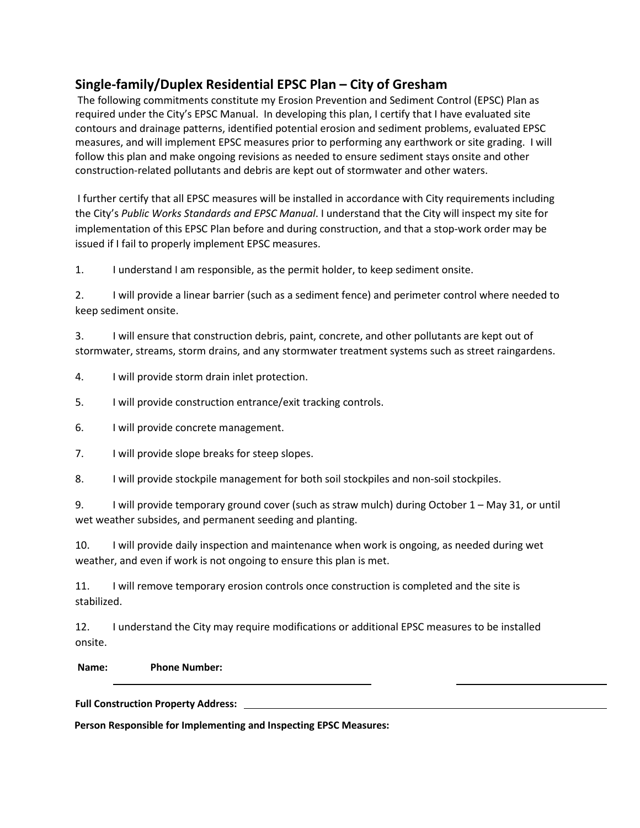# **Single-family/Duplex Residential EPSC Plan – City of Gresham**

The following commitments constitute my Erosion Prevention and Sediment Control (EPSC) Plan as required under the City's EPSC Manual. In developing this plan, I certify that I have evaluated site contours and drainage patterns, identified potential erosion and sediment problems, evaluated EPSC measures, and will implement EPSC measures prior to performing any earthwork or site grading. I will follow this plan and make ongoing revisions as needed to ensure sediment stays onsite and other construction-related pollutants and debris are kept out of stormwater and other waters.

I further certify that all EPSC measures will be installed in accordance with City requirements including the City's *Public Works Standards and EPSC Manual*. I understand that the City will inspect my site for implementation of this EPSC Plan before and during construction, and that a stop-work order may be issued if I fail to properly implement EPSC measures.

1. I understand I am responsible, as the permit holder, to keep sediment onsite.

2. I will provide a linear barrier (such as a sediment fence) and perimeter control where needed to keep sediment onsite.

3. I will ensure that construction debris, paint, concrete, and other pollutants are kept out of stormwater, streams, storm drains, and any stormwater treatment systems such as street raingardens.

4. I will provide storm drain inlet protection.

5. I will provide construction entrance/exit tracking controls.

6. I will provide concrete management.

7. I will provide slope breaks for steep slopes.

8. I will provide stockpile management for both soil stockpiles and non-soil stockpiles.

9. I will provide temporary ground cover (such as straw mulch) during October 1 – May 31, or until wet weather subsides, and permanent seeding and planting.

10. I will provide daily inspection and maintenance when work is ongoing, as needed during wet weather, and even if work is not ongoing to ensure this plan is met.

11. I will remove temporary erosion controls once construction is completed and the site is stabilized.

12. I understand the City may require modifications or additional EPSC measures to be installed onsite.

**Name: Phone Number:** 

**Full Construction Property Address:** 

**Person Responsible for Implementing and Inspecting EPSC Measures:**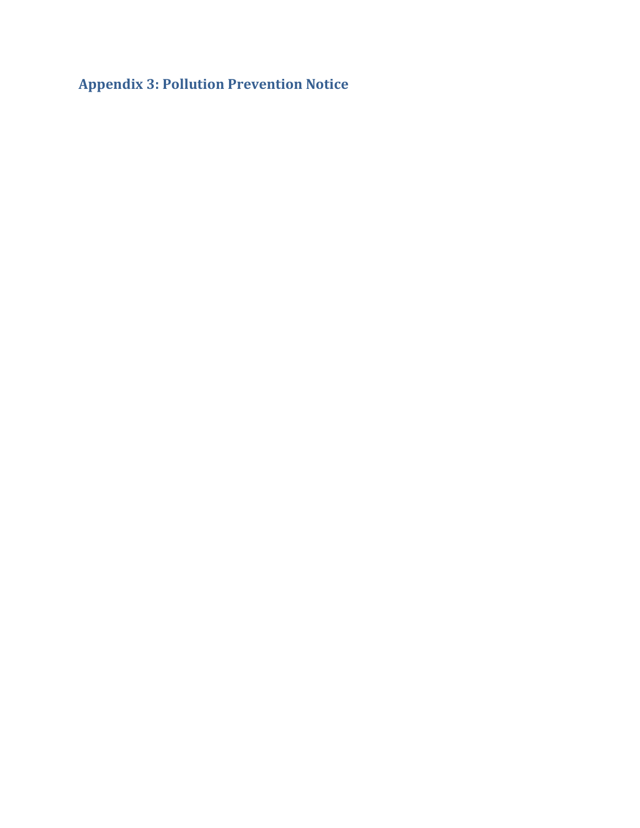<span id="page-14-0"></span>**Appendix 3: Pollution Prevention Notice**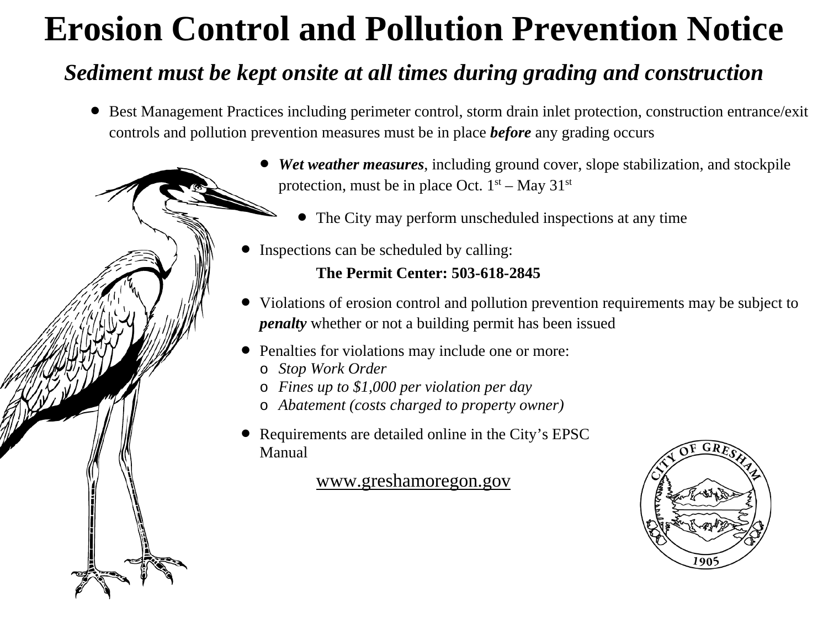# **Erosion Control and Pollution Prevention Notice**

# *Sediment must be kept onsite at all times during grading and construction*

• Best Management Practices including perimeter control, storm drain inlet protection, construction entrance/exit controls and pollution prevention measures must be in place *before* any grading occurs



- *Wet weather measures*, including ground cover, slope stabilization, and stockpile protection, must be in place Oct.  $1<sup>st</sup> - May 31<sup>st</sup>$ 
	- The City may perform unscheduled inspections at any time
- Inspections can be scheduled by calling:

# **The Permit Center: 503-618-2845**

- Violations of erosion control and pollution prevention requirements may be subject to *penalty* whether or not a building permit has been issued
- Penalties for violations may include one or more:
	- o *Stop Work Order*
	- o *Fines up to \$1,000 per violation per day*
	- o *Abatement (costs charged to property owner)*
- Requirements are detailed online in the City's EPSC Manual

[www.greshamoregon.gov](http://www.greshamoregon.gov/)

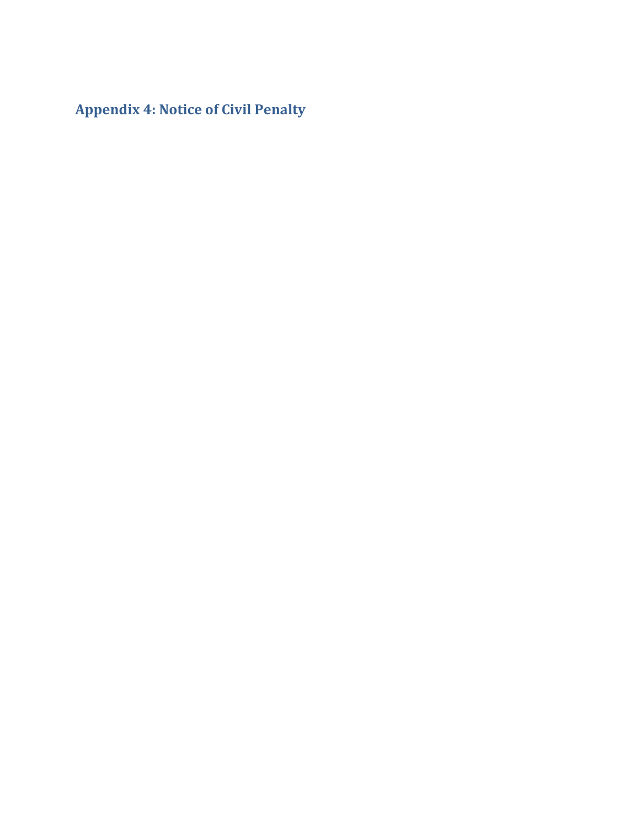**Appendix 4: Notice of Civil Penalty**